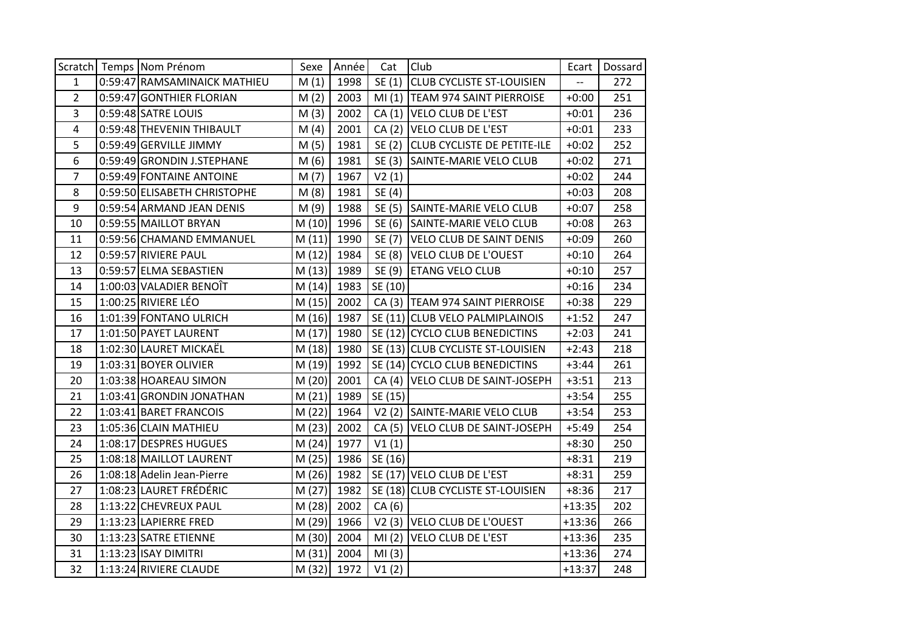|                | Scratch Temps Nom Prénom     | Sexe   | Année       | Cat     | Club                               | Ecart    | Dossard |
|----------------|------------------------------|--------|-------------|---------|------------------------------------|----------|---------|
| 1              | 0:59:47 RAMSAMINAICK MATHIEU | M(1)   | 1998        | SE(1)   | <b>CLUB CYCLISTE ST-LOUISIEN</b>   |          | 272     |
| $\overline{2}$ | 0:59:47 GONTHIER FLORIAN     | M(2)   | 2003        |         | MI (1) TEAM 974 SAINT PIERROISE    | $+0:00$  | 251     |
| 3              | 0:59:48 SATRE LOUIS          | M(3)   | 2002        |         | CA (1) VELO CLUB DE L'EST          | $+0:01$  | 236     |
| 4              | 0:59:48 THEVENIN THIBAULT    | M(4)   | 2001        | CA(2)   | VELO CLUB DE L'EST                 | $+0:01$  | 233     |
| 5              | 0:59:49 GERVILLE JIMMY       | M(5)   | 1981        |         | SE (2) CLUB CYCLISTE DE PETITE-ILE | $+0:02$  | 252     |
| 6              | 0:59:49 GRONDIN J.STEPHANE   | M(6)   | 1981        |         | SE (3) SAINTE-MARIE VELO CLUB      | $+0:02$  | 271     |
| $\overline{7}$ | 0:59:49 FONTAINE ANTOINE     | M(7)   | 1967        | V2(1)   |                                    | $+0:02$  | 244     |
| 8              | 0:59:50 ELISABETH CHRISTOPHE | M(8)   | 1981        | SE (4)  |                                    | $+0:03$  | 208     |
| 9              | 0:59:54 ARMAND JEAN DENIS    | M(9)   | 1988        |         | SE (5) SAINTE-MARIE VELO CLUB      | $+0:07$  | 258     |
| 10             | 0:59:55 MAILLOT BRYAN        | M(10)  | 1996        |         | SE (6) SAINTE-MARIE VELO CLUB      | $+0:08$  | 263     |
| 11             | 0:59:56 CHAMAND EMMANUEL     | M(11)  | 1990        |         | SE (7) VELO CLUB DE SAINT DENIS    | $+0:09$  | 260     |
| 12             | 0:59:57 RIVIERE PAUL         | M(12)  | 1984        |         | SE (8) VELO CLUB DE L'OUEST        | $+0:10$  | 264     |
| 13             | 0:59:57 ELMA SEBASTIEN       | M(13)  | 1989        |         | SE (9) ETANG VELO CLUB             | $+0:10$  | 257     |
| 14             | 1:00:03 VALADIER BENOIT      | M(14)  | 1983        | SE (10) |                                    | $+0:16$  | 234     |
| 15             | $1:00:25$ RIVIERE LÉO        | M(15)  | 2002        |         | CA (3) TEAM 974 SAINT PIERROISE    | $+0:38$  | 229     |
| 16             | 1:01:39 FONTANO ULRICH       | M(16)  | 1987        |         | SE (11) CLUB VELO PALMIPLAINOIS    | $+1:52$  | 247     |
| 17             | 1:01:50 PAYET LAURENT        | M(17)  | 1980        |         | SE (12) CYCLO CLUB BENEDICTINS     | $+2:03$  | 241     |
| 18             | 1:02:30 LAURET MICKAËL       | M(18)  | 1980        |         | SE (13) CLUB CYCLISTE ST-LOUISIEN  | $+2:43$  | 218     |
| 19             | 1:03:31 BOYER OLIVIER        | M (19) | 1992        |         | SE (14) CYCLO CLUB BENEDICTINS     | $+3:44$  | 261     |
| 20             | 1:03:38 HOAREAU SIMON        | M(20)  | 2001        |         | CA (4) VELO CLUB DE SAINT-JOSEPH   | $+3:51$  | 213     |
| 21             | 1:03:41 GRONDIN JONATHAN     | M(21)  | 1989        | SE (15) |                                    | $+3:54$  | 255     |
| 22             | 1:03:41 BARET FRANCOIS       | M (22) | 1964        |         | V2 (2) SAINTE-MARIE VELO CLUB      | $+3:54$  | 253     |
| 23             | 1:05:36 CLAIN MATHIEU        | M(23)  | 2002        |         | CA (5) VELO CLUB DE SAINT-JOSEPH   | $+5:49$  | 254     |
| 24             | 1:08:17 DESPRES HUGUES       | M(24)  | 1977        | V1(1)   |                                    | $+8:30$  | 250     |
| 25             | 1:08:18 MAILLOT LAURENT      | M (25) | 1986        | SE (16) |                                    | $+8:31$  | 219     |
| 26             | 1:08:18 Adelin Jean-Pierre   | M (26) | 1982        |         | SE (17) VELO CLUB DE L'EST         | $+8:31$  | 259     |
| 27             | 1:08:23 LAURET FRÉDÉRIC      | M(27)  | 1982        |         | SE (18) CLUB CYCLISTE ST-LOUISIEN  | $+8:36$  | 217     |
| 28             | 1:13:22 CHEVREUX PAUL        | M (28) | 2002        | CA(6)   |                                    | $+13:35$ | 202     |
| 29             | 1:13:23 LAPIERRE FRED        | M (29) | 1966        |         | V2 (3) VELO CLUB DE L'OUEST        | $+13:36$ | 266     |
| 30             | 1:13:23 SATRE ETIENNE        | M (30) | 2004        |         | MI (2) VELO CLUB DE L'EST          | $+13:36$ | 235     |
| 31             | $1:13:23$ ISAY DIMITRI       | M(31)  | 2004        | MI(3)   |                                    | $+13:36$ | 274     |
| 32             | 1:13:24 RIVIERE CLAUDE       |        | M (32) 1972 | V1(2)   |                                    | $+13:37$ | 248     |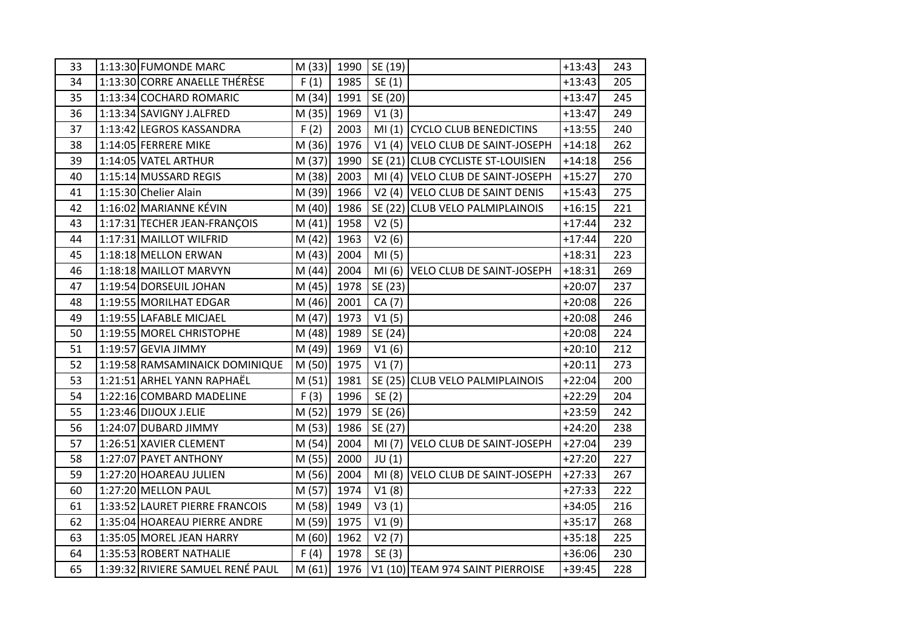| 33 | 1:13:30 FUMONDE MARC             | M(33)  | 1990 | SE(19)  |                                   | $+13:43$ | 243 |
|----|----------------------------------|--------|------|---------|-----------------------------------|----------|-----|
| 34 | 1:13:30 CORRE ANAELLE THÉRÈSE    | F(1)   | 1985 | SE (1)  |                                   | $+13:43$ | 205 |
| 35 | 1:13:34 COCHARD ROMARIC          | M(34)  | 1991 | SE (20) |                                   | $+13:47$ | 245 |
| 36 | 1:13:34 SAVIGNY J.ALFRED         | M(35)  | 1969 | V1(3)   |                                   | $+13:47$ | 249 |
| 37 | 1:13:42 LEGROS KASSANDRA         | F(2)   | 2003 |         | MI (1) CYCLO CLUB BENEDICTINS     | $+13:55$ | 240 |
| 38 | 1:14:05 FERRERE MIKE             | M (36) | 1976 |         | V1 (4) VELO CLUB DE SAINT-JOSEPH  | $+14:18$ | 262 |
| 39 | 1:14:05 VATEL ARTHUR             | M (37) | 1990 |         | SE (21) CLUB CYCLISTE ST-LOUISIEN | $+14:18$ | 256 |
| 40 | 1:15:14 MUSSARD REGIS            | M (38) | 2003 |         | MI (4) VELO CLUB DE SAINT-JOSEPH  | $+15:27$ | 270 |
| 41 | 1:15:30 Chelier Alain            | M (39) | 1966 |         | V2 (4) VELO CLUB DE SAINT DENIS   | $+15:43$ | 275 |
| 42 | 1:16:02 MARIANNE KÉVIN           | M(40)  | 1986 |         | SE (22) CLUB VELO PALMIPLAINOIS   | $+16:15$ | 221 |
| 43 | 1:17:31 TECHER JEAN-FRANÇOIS     | M(41)  | 1958 | V2(5)   |                                   | $+17:44$ | 232 |
| 44 | 1:17:31 MAILLOT WILFRID          | M(42)  | 1963 | V2(6)   |                                   | $+17:44$ | 220 |
| 45 | 1:18:18 MELLON ERWAN             | M(43)  | 2004 | MI(5)   |                                   | $+18:31$ | 223 |
| 46 | 1:18:18 MAILLOT MARVYN           | M(44)  | 2004 |         | MI (6) VELO CLUB DE SAINT-JOSEPH  | $+18:31$ | 269 |
| 47 | 1:19:54 DORSEUIL JOHAN           | M(45)  | 1978 | SE (23) |                                   | $+20:07$ | 237 |
| 48 | 1:19:55 MORILHAT EDGAR           | M (46) | 2001 | CA (7)  |                                   | $+20:08$ | 226 |
| 49 | 1:19:55 LAFABLE MICJAEL          | M(47)  | 1973 | V1(5)   |                                   | $+20:08$ | 246 |
| 50 | 1:19:55 MOREL CHRISTOPHE         | M(48)  | 1989 | SE (24) |                                   | $+20:08$ | 224 |
| 51 | 1:19:57 GEVIA JIMMY              | M (49) | 1969 | V1(6)   |                                   | $+20:10$ | 212 |
| 52 | 1:19:58 RAMSAMINAICK DOMINIQUE   | M (50) | 1975 | V1(7)   |                                   | $+20:11$ | 273 |
| 53 | 1:21:51 ARHEL YANN RAPHAËL       | M(51)  | 1981 |         | SE (25) CLUB VELO PALMIPLAINOIS   | $+22:04$ | 200 |
| 54 | 1:22:16 COMBARD MADELINE         | F(3)   | 1996 | SE(2)   |                                   | $+22:29$ | 204 |
| 55 | 1:23:46 DIJOUX J.ELIE            | M(52)  | 1979 | SE (26) |                                   | $+23:59$ | 242 |
| 56 | 1:24:07 DUBARD JIMMY             | M(53)  | 1986 | SE (27) |                                   | $+24:20$ | 238 |
| 57 | 1:26:51 XAVIER CLEMENT           | M(54)  | 2004 |         | MI (7) VELO CLUB DE SAINT-JOSEPH  | $+27:04$ | 239 |
| 58 | 1:27:07 PAYET ANTHONY            | M(55)  | 2000 | JU(1)   |                                   | $+27:20$ | 227 |
| 59 | 1:27:20 HOAREAU JULIEN           | M (56) | 2004 |         | MI (8) VELO CLUB DE SAINT-JOSEPH  | $+27:33$ | 267 |
| 60 | 1:27:20 MELLON PAUL              | M (57) | 1974 | V1(8)   |                                   | $+27:33$ | 222 |
| 61 | 1:33:52 LAURET PIERRE FRANCOIS   | M (58) | 1949 | V3(1)   |                                   | $+34:05$ | 216 |
| 62 | 1:35:04 HOAREAU PIERRE ANDRE     | M (59) | 1975 | V1(9)   |                                   | $+35:17$ | 268 |
| 63 | 1:35:05 MOREL JEAN HARRY         | M (60) | 1962 | V2(7)   |                                   | $+35:18$ | 225 |
| 64 | 1:35:53 ROBERT NATHALIE          | F (4)  | 1978 | SE (3)  |                                   | $+36:06$ | 230 |
| 65 | 1:39:32 RIVIERE SAMUEL RENÉ PAUL | M(61)  | 1976 |         | V1 (10) TEAM 974 SAINT PIERROISE  | $+39:45$ | 228 |